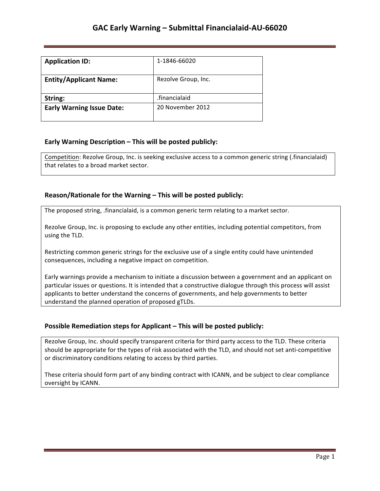## **GAC Early Warning – Submittal Financialaid-AU-66020**

| <b>Application ID:</b>           | 1-1846-66020        |
|----------------------------------|---------------------|
| <b>Entity/Applicant Name:</b>    | Rezolve Group, Inc. |
| String:                          | .financialaid       |
| <b>Early Warning Issue Date:</b> | 20 November 2012    |

#### **Early Warning Description – This will be posted publicly:**

Competition: Rezolve Group, Inc. is seeking exclusive access to a common generic string (.financialaid) that relates to a broad market sector.

#### **Reason/Rationale for the Warning – This will be posted publicly:**

The proposed string, .financialaid, is a common generic term relating to a market sector.

Rezolve Group, Inc. is proposing to exclude any other entities, including potential competitors, from using the TLD.

Restricting common generic strings for the exclusive use of a single entity could have unintended consequences, including a negative impact on competition.

Early warnings provide a mechanism to initiate a discussion between a government and an applicant on particular issues or questions. It is intended that a constructive dialogue through this process will assist applicants to better understand the concerns of governments, and help governments to better understand the planned operation of proposed gTLDs.

### **Possible Remediation steps for Applicant - This will be posted publicly:**

Rezolve Group, Inc. should specify transparent criteria for third party access to the TLD. These criteria should be appropriate for the types of risk associated with the TLD, and should not set anti-competitive or discriminatory conditions relating to access by third parties.

These criteria should form part of any binding contract with ICANN, and be subject to clear compliance oversight by ICANN.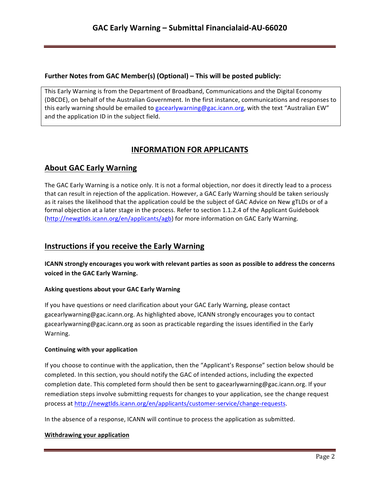### **Further Notes from GAC Member(s) (Optional) – This will be posted publicly:**

This Early Warning is from the Department of Broadband, Communications and the Digital Economy (DBCDE), on behalf of the Australian Government. In the first instance, communications and responses to this early warning should be emailed to gacearlywarning@gac.icann.org, with the text "Australian EW" and the application ID in the subject field.

# **INFORMATION FOR APPLICANTS**

# **About GAC Early Warning**

The GAC Early Warning is a notice only. It is not a formal objection, nor does it directly lead to a process that can result in rejection of the application. However, a GAC Early Warning should be taken seriously as it raises the likelihood that the application could be the subject of GAC Advice on New gTLDs or of a formal objection at a later stage in the process. Refer to section 1.1.2.4 of the Applicant Guidebook (http://newgtlds.icann.org/en/applicants/agb) for more information on GAC Early Warning.

## **Instructions if you receive the Early Warning**

**ICANN** strongly encourages you work with relevant parties as soon as possible to address the concerns voiced in the GAC Early Warning.

### **Asking questions about your GAC Early Warning**

If you have questions or need clarification about your GAC Early Warning, please contact gacearlywarning@gac.icann.org. As highlighted above, ICANN strongly encourages you to contact gacearlywarning@gac.icann.org as soon as practicable regarding the issues identified in the Early Warning. 

#### **Continuing with your application**

If you choose to continue with the application, then the "Applicant's Response" section below should be completed. In this section, you should notify the GAC of intended actions, including the expected completion date. This completed form should then be sent to gacearlywarning@gac.icann.org. If your remediation steps involve submitting requests for changes to your application, see the change request process at http://newgtlds.icann.org/en/applicants/customer-service/change-requests.

In the absence of a response, ICANN will continue to process the application as submitted.

#### **Withdrawing your application**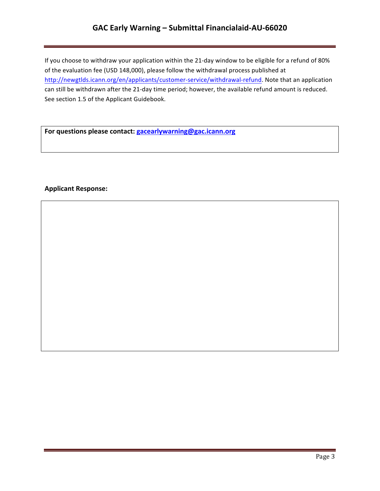## **GAC Early Warning – Submittal Financialaid-AU-66020**

If you choose to withdraw your application within the 21-day window to be eligible for a refund of 80% of the evaluation fee (USD 148,000), please follow the withdrawal process published at http://newgtlds.icann.org/en/applicants/customer-service/withdrawal-refund. Note that an application can still be withdrawn after the 21-day time period; however, the available refund amount is reduced. See section 1.5 of the Applicant Guidebook.

For questions please contact: **gacearlywarning@gac.icann.org** 

#### **Applicant Response:**